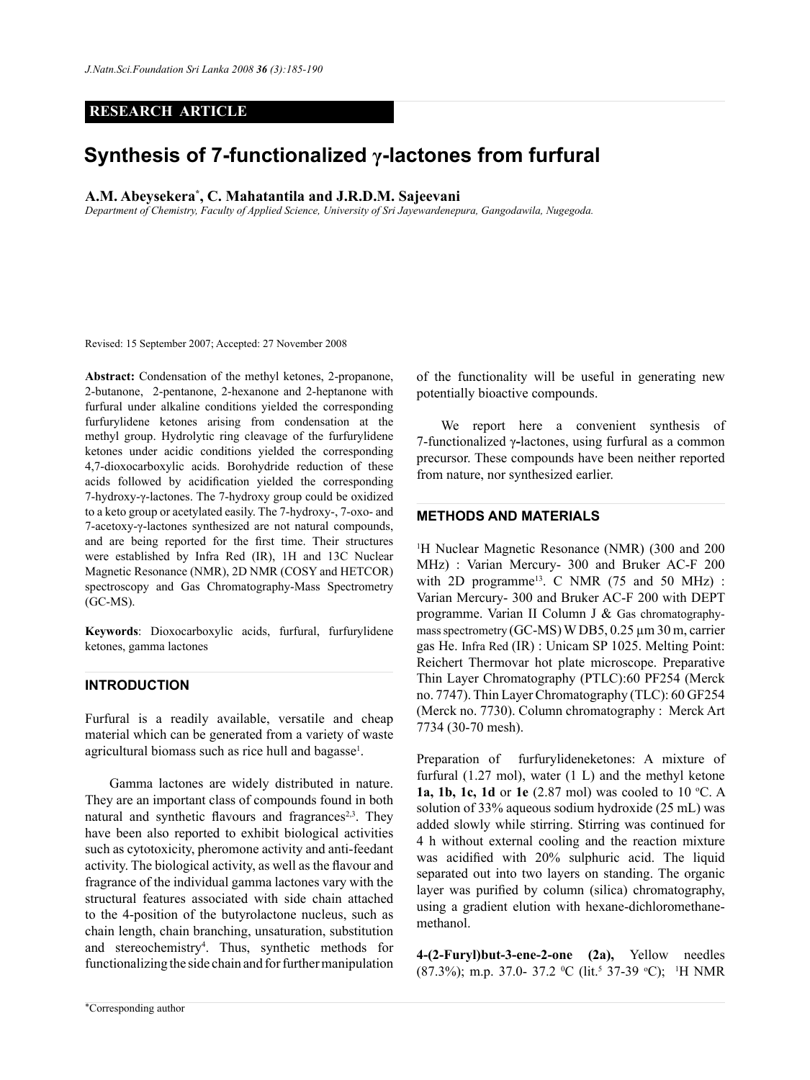# **RESEARCH ARTICLE**

# **Synthesis of 7-functionalized γ-lactones from furfural**

# **A.M. Abeysekera\* , C. Mahatantila and J.R.D.M. Sajeevani**

*Department of Chemistry, Faculty of Applied Science, University of Sri Jayewardenepura, Gangodawila, Nugegoda.*

Revised: 15 September 2007; Accepted: 27 November 2008

**Abstract:** Condensation of the methyl ketones, 2-propanone, 2-butanone, 2-pentanone, 2-hexanone and 2-heptanone with furfural under alkaline conditions yielded the corresponding furfurylidene ketones arising from condensation at the methyl group. Hydrolytic ring cleavage of the furfurylidene ketones under acidic conditions yielded the corresponding 4,7-dioxocarboxylic acids. Borohydride reduction of these acids followed by acidification yielded the corresponding 7-hydroxy-γ-lactones. The 7-hydroxy group could be oxidized to a keto group or acetylated easily. The 7-hydroxy-, 7-oxo- and 7-acetoxy-γ-lactones synthesized are not natural compounds, and are being reported for the first time. Their structures were established by Infra Red (IR), 1H and 13C Nuclear Magnetic Resonance (NMR), 2D NMR (COSY and HETCOR) spectroscopy and Gas Chromatography-Mass Spectrometry (GC-MS).

**Keywords**: Dioxocarboxylic acids, furfural, furfurylidene ketones, gamma lactones

# **Introduction**

Furfural is a readily available, versatile and cheap material which can be generated from a variety of waste agricultural biomass such as rice hull and bagasse<sup>1</sup>.

Gamma lactones are widely distributed in nature. They are an important class of compounds found in both natural and synthetic flavours and fragrances<sup>2,3</sup>. They have been also reported to exhibit biological activities such as cytotoxicity, pheromone activity and anti-feedant activity. The biological activity, as well as the flavour and fragrance of the individual gamma lactones vary with the structural features associated with side chain attached to the 4-position of the butyrolactone nucleus, such as chain length, chain branching, unsaturation, substitution and stereochemistry4 . Thus, synthetic methods for functionalizing the side chain and for further manipulation

of the functionality will be useful in generating new potentially bioactive compounds.

We report here a convenient synthesis of 7-functionalized γ**-**lactones, using furfural as a common precursor. These compounds have been neither reported from nature, nor synthesized earlier.

### **METHODS AND MATERIALS**

<sup>1</sup>H Nuclear Magnetic Resonance (NMR) (300 and 200 MHz) : Varian Mercury- 300 and Bruker AC-F 200 with 2D programme<sup>13</sup>. C NMR (75 and 50 MHz) : Varian Mercury- 300 and Bruker AC-F 200 with DEPT programme. Varian II Column J & Gas chromatographymass spectrometry (GC-MS) W DB5, 0.25 µm 30 m, carrier gas He. Infra Red (IR) : Unicam SP 1025. Melting Point: Reichert Thermovar hot plate microscope. Preparative Thin Layer Chromatography (PTLC):60 PF254 (Merck no. 7747). Thin Layer Chromatography (TLC): 60 GF254 (Merck no. 7730). Column chromatography : Merck Art 7734 (30-70 mesh).

Preparation of furfurylideneketones: A mixture of furfural (1.27 mol), water (1 L) and the methyl ketone **1a, 1b, 1c, 1d** or **1e** (2.87 mol) was cooled to 10 °C. A solution of 33% aqueous sodium hydroxide (25 mL) was added slowly while stirring. Stirring was continued for 4 h without external cooling and the reaction mixture was acidified with 20% sulphuric acid. The liquid separated out into two layers on standing. The organic layer was purified by column (silica) chromatography, using a gradient elution with hexane-dichloromethanemethanol.

**4-(2-Furyl)but-3-ene-2-one (2a),** Yellow needles (87.3%); m.p. 37.0- 37.2 °C (lit.<sup>5</sup> 37-39 °C); <sup>1</sup>H NMR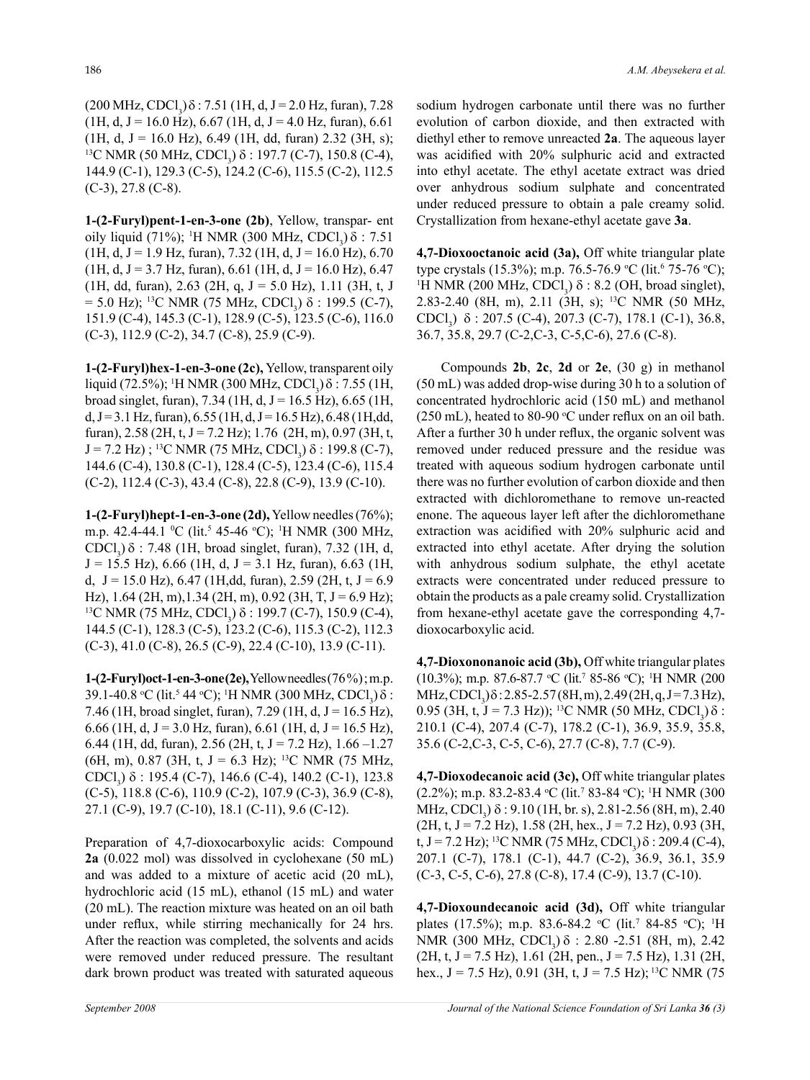$(200 \text{ MHz}, \text{CDCl}_3)$  $\delta$ : 7.51 (1H, d, J = 2.0 Hz, furan), 7.28  $(1H, d, J = 16.0 \text{ Hz})$ , 6.67 (1H, d, J = 4.0 Hz, furan), 6.61  $(1H, d, J = 16.0 \text{ Hz})$ , 6.49 (1H, dd, furan) 2.32 (3H, s); <sup>13</sup>C NMR (50 MHz, CDCl<sub>3</sub>) δ : 197.7 (C-7), 150.8 (C-4), 144.9 (C-1), 129.3 (C-5), 124.2 (C-6), 115.5 (C-2), 112.5 (C-3), 27.8 (C-8).

**1-(2-Furyl)pent-1-en-3-one (2b)**, Yellow, transpar- ent oily liquid (71%); <sup>1</sup>H NMR (300 MHz, CDCl<sub>3</sub>)  $\delta$  : 7.51  $(1H, d, J = 1.9 Hz, furan), 7.32 (1H, d, J = 16.0 Hz), 6.70$  $(1H, d, J = 3.7 Hz, furan), 6.61 (1H, d, J = 16.0 Hz), 6.47$ (1H, dd, furan), 2.63 (2H, q,  $J = 5.0$  Hz), 1.11 (3H, t, J  $= 5.0$  Hz); <sup>13</sup>C NMR (75 MHz, CDCl<sub>3</sub>) δ : 199.5 (C-7), 151.9 (C-4), 145.3 (C-1), 128.9 (C-5), 123.5 (C-6), 116.0 (C-3), 112.9 (C-2), 34.7 (C-8), 25.9 (C-9).

**1-(2-Furyl)hex-1-en-3-one (2c),** Yellow, transparent oily liquid (72.5%); <sup>1</sup>H NMR (300 MHz, CDCl<sub>3</sub>)  $\delta$  : 7.55 (1H, broad singlet, furan),  $7.34$  (1H, d, J = 16.5 Hz), 6.65 (1H, d, J = 3.1 Hz, furan),  $6.55$  (1H, d, J = 16.5 Hz),  $6.48$  (1H, dd, furan), 2.58 (2H, t, J = 7.2 Hz); 1.76 (2H, m), 0.97 (3H, t,  $J = 7.2$  Hz); <sup>13</sup>C NMR (75 MHz, CDCl<sub>3</sub>) δ : 199.8 (C-7), 144.6 (C-4), 130.8 (C-1), 128.4 (C-5), 123.4 (C-6), 115.4 (C-2), 112.4 (C-3), 43.4 (C-8), 22.8 (C-9), 13.9 (C-10).

**1-(2-Furyl)hept-1-en-3-one (2d),** Yellow needles (76%); m.p. 42.4-44.1 °C (lit.<sup>5</sup> 45-46 °C); <sup>1</sup>H NMR (300 MHz, CDCl<sub>3</sub>)  $\delta$  : 7.48 (1H, broad singlet, furan), 7.32 (1H, d,  $J = 15.5$  Hz), 6.66 (1H, d,  $J = 3.1$  Hz, furan), 6.63 (1H, d,  $J = 15.0$  Hz), 6.47 (1H,dd, furan), 2.59 (2H, t,  $J = 6.9$ Hz), 1.64 (2H, m),1.34 (2H, m), 0.92 (3H, T, J = 6.9 Hz);<br><sup>13</sup>C NMR (75 MHz, CDCl<sub>3</sub>) δ : 199.7 (C-7), 150.9 (C-4), 144.5 (C-1), 128.3 (C-5), 123.2 (C-6), 115.3 (C-2), 112.3  $(C-3)$ , 41.0  $(C-8)$ , 26.5  $(C-9)$ , 22.4  $(C-10)$ , 13.9  $(C-11)$ .

**1-(2-Furyl)oct-1-en-3-one(2e),**Yellow needles (76 %) ; m.p. 39.1-40.8 °C (lit.<sup>5</sup> 44 °C); <sup>1</sup>H NMR (300 MHz, CDCl<sub>3</sub>) δ : 7.46 (1H, broad singlet, furan), 7.29 (1H, d,  $J = 16.5$  Hz), 6.66 (1H, d, J = 3.0 Hz, furan), 6.61 (1H, d, J = 16.5 Hz), 6.44 (1H, dd, furan), 2.56 (2H, t,  $J = 7.2$  Hz), 1.66 -1.27 (6H, m), 0.87 (3H, t, J = 6.3 Hz); <sup>13</sup>C NMR (75 MHz, CDCl<sub>3</sub>) δ : 195.4 (C-7), 146.6 (C-4), 140.2 (C-1), 123.8 (C-5), 118.8 (C-6), 110.9 (C-2), 107.9 (C-3), 36.9 (C-8), 27.1 (C-9), 19.7 (C-10), 18.1 (C-11), 9.6 (C-12).

Preparation of 4,7-dioxocarboxylic acids: Compound **2a** (0.022 mol) was dissolved in cyclohexane (50 mL) and was added to a mixture of acetic acid (20 mL), hydrochloric acid (15 mL), ethanol (15 mL) and water (20 mL). The reaction mixture was heated on an oil bath under reflux, while stirring mechanically for 24 hrs. After the reaction was completed, the solvents and acids were removed under reduced pressure. The resultant dark brown product was treated with saturated aqueous sodium hydrogen carbonate until there was no further evolution of carbon dioxide, and then extracted with diethyl ether to remove unreacted **2a**. The aqueous layer was acidified with 20% sulphuric acid and extracted into ethyl acetate. The ethyl acetate extract was dried over anhydrous sodium sulphate and concentrated under reduced pressure to obtain a pale creamy solid. Crystallization from hexane-ethyl acetate gave **3a**.

**4,7-Dioxooctanoic acid (3a),** Off white triangular plate type crystals (15.3%); m.p. 76.5-76.9 °C (lit.<sup>6</sup> 75-76 °C);<br><sup>1</sup>H NMR (200 MHz CDCL)  $\delta$  · 8.2 (OH broad singlet) H NMR (200 MHz,  $CDCl<sub>3</sub>$ )  $\delta$  : 8.2 (OH, broad singlet), 2.83-2.40 (8H, m), 2.11 (3H, s); 13C NMR (50 MHz, CDCl<sub>3</sub>) δ : 207.5 (C-4), 207.3 (C-7), 178.1 (C-1), 36.8, 36.7, 35.8, 29.7 (C-2,C-3, C-5,C-6), 27.6 (C-8).

Compounds **2b**, **2c**, **2d** or **2e**, (30 g) in methanol (50 mL) was added drop-wise during 30 h to a solution of concentrated hydrochloric acid (150 mL) and methanol  $(250 \text{ mL})$ , heated to 80-90 °C under reflux on an oil bath. After a further 30 h under reflux, the organic solvent was removed under reduced pressure and the residue was treated with aqueous sodium hydrogen carbonate until there was no further evolution of carbon dioxide and then extracted with dichloromethane to remove un-reacted enone. The aqueous layer left after the dichloromethane extraction was acidified with 20% sulphuric acid and extracted into ethyl acetate. After drying the solution with anhydrous sodium sulphate, the ethyl acetate extracts were concentrated under reduced pressure to obtain the products as a pale creamy solid. Crystallization from hexane-ethyl acetate gave the corresponding 4,7 dioxocarboxylic acid.

**4,7-Dioxononanoic acid (3b),** Off white triangular plates (10.3%); m.p. 87.6-87.7 °C (lit.<sup>7</sup> 85-86 °C); <sup>1</sup>H NMR (200  $MHz, CDCl<sub>3</sub>)\delta$ : 2.85-2.57 (8H, m), 2.49 (2H, q, J = 7.3 Hz), 0.95 (3H, t, J = 7.3 Hz)); <sup>13</sup>C NMR (50 MHz, CDCl<sub>3</sub>)  $\delta$  : 210.1 (C-4), 207.4 (C-7), 178.2 (C-1), 36.9, 35.9, 35.8, 35.6 (C-2,C-3, C-5, C-6), 27.7 (C-8), 7.7 (C-9).

**4,7-Dioxodecanoic acid (3c),** Off white triangular plates (2.2%); m.p. 83.2-83.4 °C (lit.<sup>7</sup> 83-84 °C); <sup>1</sup>H NMR (300 MHz, CDCl<sub>3</sub>) δ : 9.10 (1H, br. s), 2.81-2.56 (8H, m), 2.40  $(2H, t, J = 7.2 Hz)$ , 1.58 (2H, hex., J = 7.2 Hz), 0.93 (3H, t, J = 7.2 Hz); <sup>13</sup>C NMR (75 MHz, CDCl<sub>3</sub>)  $\delta$  : 209.4 (C-4), 207.1 (C-7), 178.1 (C-1), 44.7 (C-2), 36.9, 36.1, 35.9 (C-3, C-5, C-6), 27.8 (C-8), 17.4 (C-9), 13.7 (C-10).

**4,7-Dioxoundecanoic acid (3d),** Off white triangular plates (17.5%); m.p. 83.6-84.2 °C (lit.<sup>7</sup> 84-85 °C); <sup>1</sup>H NMR (300 MHz, CDCl<sub>3</sub>)  $\delta$  : 2.80 -2.51 (8H, m), 2.42  $(2H, t, J = 7.5 Hz)$ , 1.61 (2H, pen., J = 7.5 Hz), 1.31 (2H, hex.,  $J = 7.5$  Hz), 0.91 (3H, t,  $J = 7.5$  Hz); <sup>13</sup>C NMR (75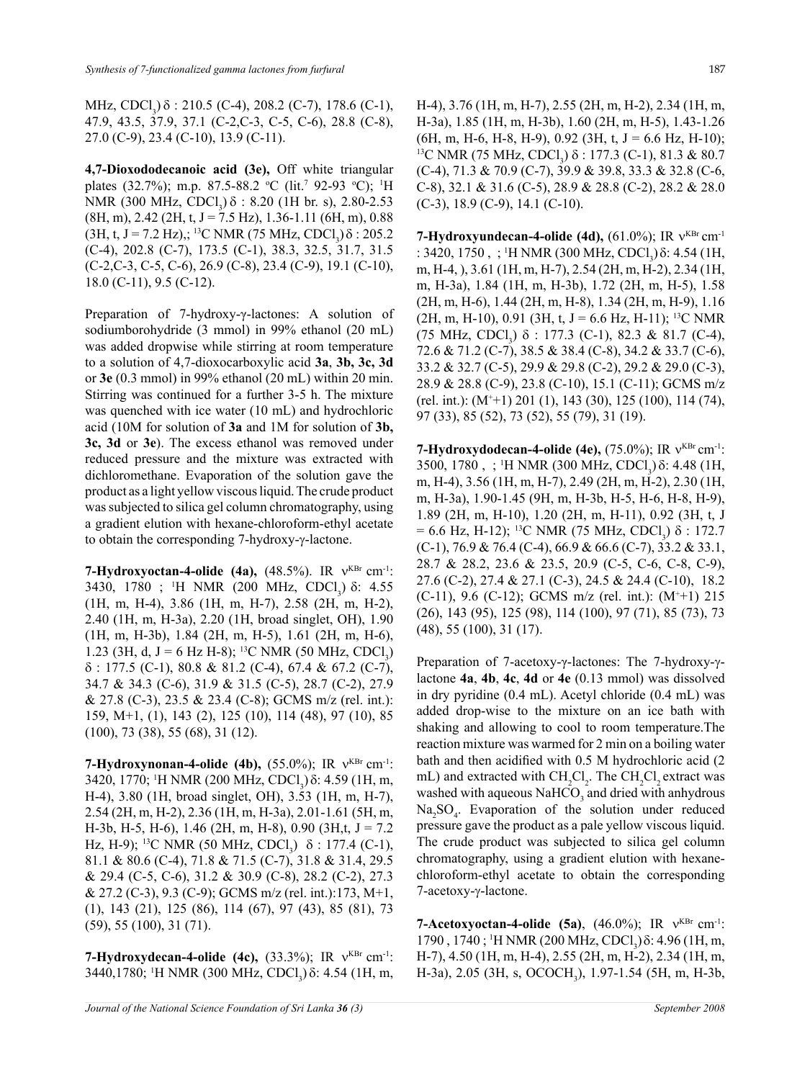MHz, CDCl<sub>3</sub>)  $\delta$  : 210.5 (C-4), 208.2 (C-7), 178.6 (C-1), 47.9, 43.5, 37.9, 37.1 (C-2,C-3, C-5, C-6), 28.8 (C-8), 27.0 (C-9), 23.4 (C-10), 13.9 (C-11).

**4,7-Dioxododecanoic acid (3e),** Off white triangular plates (32.7%); m.p. 87.5-88.2 °C (lit.<sup>7</sup> 92-93 °C); <sup>1</sup>H NMR (300 MHz, CDCl<sub>3</sub>)  $\delta$  : 8.20 (1H br. s), 2.80-2.53  $(8H, m)$ , 2.42  $(2H, t, J = 7.5 Hz)$ , 1.36-1.11  $(6H, m)$ , 0.88 (3H, t, J = 7.2 Hz),; <sup>13</sup>C NMR (75 MHz, CDCl<sub>3</sub>)  $\delta$  : 205.2 (C-4), 202.8 (C-7), 173.5 (C-1), 38.3, 32.5, 31.7, 31.5 (C-2,C-3, C-5, C-6), 26.9 (C-8), 23.4 (C-9), 19.1 (C-10), 18.0 (C-11), 9.5 (C-12).

Preparation of 7-hydroxy-γ-lactones: A solution of sodiumborohydride (3 mmol) in 99% ethanol (20 mL) was added dropwise while stirring at room temperature to a solution of 4,7-dioxocarboxylic acid **3a**, **3b, 3c, 3d** or **3e** (0.3 mmol) in 99% ethanol (20 mL) within 20 min. Stirring was continued for a further 3-5 h. The mixture was quenched with ice water (10 mL) and hydrochloric acid (10M for solution of **3a** and 1M for solution of **3b, 3c, 3d** or **3e**). The excess ethanol was removed under reduced pressure and the mixture was extracted with dichloromethane. Evaporation of the solution gave the product as a light yellow viscous liquid. The crude product was subjected to silica gel column chromatography, using a gradient elution with hexane-chloroform-ethyl acetate to obtain the corresponding 7-hydroxy-γ-lactone.

**7-Hydroxyoctan-4-olide (4a),** (48.5%). IR  $v^{KBr}$  cm<sup>-1</sup>: 3430, 1780 ; <sup>1</sup>H NMR (200 MHz, CDCl<sub>3</sub>) δ: 4.55 (1H, m, H-4), 3.86 (1H, m, H-7), 2.58 (2H, m, H-2), 2.40 (1H, m, H-3a), 2.20 (1H, broad singlet, OH), 1.90 (1H, m, H-3b), 1.84 (2H, m, H-5), 1.61 (2H, m, H-6), 1.23 (3H, d, J = 6 Hz H-8); <sup>13</sup>C NMR (50 MHz, CDCl<sub>3</sub>)  $\delta$  : 177.5 (C-1), 80.8 & 81.2 (C-4), 67.4 & 67.2 (C-7), 34.7 & 34.3 (C-6), 31.9 & 31.5 (C-5), 28.7 (C-2), 27.9 & 27.8 (C-3), 23.5 & 23.4 (C-8); GCMS m/z (rel. int.): 159, M+1, (1), 143 (2), 125 (10), 114 (48), 97 (10), 85 (100), 73 (38), 55 (68), 31 (12).

**7-Hydroxynonan-4-olide (4b),** (55.0%); IR ν<sup>KBr</sup> cm<sup>-1</sup>: 3420, 1770; <sup>1</sup>H NMR (200 MHz, CDCl<sub>3</sub>) δ: 4.59 (1H, m, H-4), 3.80 (1H, broad singlet, OH), 3.53 (1H, m, H-7), 2.54 (2H, m, H-2), 2.36 (1H, m, H-3a), 2.01-1.61 (5H, m, H-3b, H-5, H-6), 1.46 (2H, m, H-8), 0.90 (3H,t,  $J = 7.2$ Hz, H-9); <sup>13</sup>C NMR (50 MHz, CDCl<sub>3</sub>) δ : 177.4 (C-1), 81.1 & 80.6 (C-4), 71.8 & 71.5 (C-7), 31.8 & 31.4, 29.5 & 29.4 (C-5, C-6), 31.2 & 30.9 (C-8), 28.2 (C-2), 27.3 & 27.2 (C-3), 9.3 (C-9); GCMS m/z (rel. int.):173, M+1, (1), 143 (21), 125 (86), 114 (67), 97 (43), 85 (81), 73 (59), 55 (100), 31 (71).

**7-Hydroxydecan-4-olide (4c),** (33.3%); IR ν<sup>KBr</sup> cm<sup>-1</sup>: 3440,1780; <sup>1</sup>H NMR (300 MHz, CDCl<sub>3</sub>) δ: 4.54 (1H, m, H-4), 3.76 (1H, m, H-7), 2.55 (2H, m, H-2), 2.34 (1H, m, H-3a), 1.85 (1H, m, H-3b), 1.60 (2H, m, H-5), 1.43-1.26  $(6H, m, H-6, H-8, H-9), 0.92$  (3H, t, J = 6.6 Hz, H-10); <sup>13</sup>C NMR (75 MHz, CDCl<sub>3</sub>) δ : 177.3 (C-1), 81.3 & 80.7 (C-4), 71.3 & 70.9 (C-7), 39.9 & 39.8, 33.3 & 32.8 (C-6, C-8), 32.1 & 31.6 (C-5), 28.9 & 28.8 (C-2), 28.2 & 28.0 (C-3), 18.9 (C-9), 14.1 (C-10).

**7-Hydroxyundecan-4-olide (4d),** (61.0%); IR ν<sup>KBr</sup> cm<sup>-1</sup> : 3420, 1750, ; <sup>1</sup>H NMR (300 MHz, CDCl<sub>3</sub>)  $\delta$ : 4.54 (1H, m, H-4, ), 3.61 (1H, m, H-7), 2.54 (2H, m, H-2), 2.34 (1H, m, H-3a), 1.84 (1H, m, H-3b), 1.72 (2H, m, H-5), 1.58 (2H, m, H-6), 1.44 (2H, m, H-8), 1.34 (2H, m, H-9), 1.16  $(2H, m, H-10)$ , 0.91 (3H, t, J = 6.6 Hz, H-11); <sup>13</sup>C NMR (75 MHz, CDCl<sub>3</sub>)  $\delta$  : 177.3 (C-1), 82.3 & 81.7 (C-4), 72.6 & 71.2 (C-7), 38.5 & 38.4 (C-8), 34.2 & 33.7 (C-6), 33.2 & 32.7 (C-5), 29.9 & 29.8 (C-2), 29.2 & 29.0 (C-3), 28.9 & 28.8 (C-9), 23.8 (C-10), 15.1 (C-11); GCMS m/z (rel. int.): (M+ +1) 201 (1), 143 (30), 125 (100), 114 (74), 97 (33), 85 (52), 73 (52), 55 (79), 31 (19).

**7-Hydroxydodecan-4-olide (4e),** (75.0%); IR ν<sup>KBr</sup> cm<sup>-1</sup>: 3500, 1780, ; <sup>1</sup>H NMR (300 MHz, CDCl<sub>3</sub>) δ: 4.48 (1H, m, H-4), 3.56 (1H, m, H-7), 2.49 (2H, m, H-2), 2.30 (1H, m, H-3a), 1.90-1.45 (9H, m, H-3b, H-5, H-6, H-8, H-9), 1.89 (2H, m, H-10), 1.20 (2H, m, H-11), 0.92 (3H, t, J  $= 6.6$  Hz, H-12); <sup>13</sup>C NMR (75 MHz, CDCl<sub>3</sub>)  $\delta$  : 172.7  $(C-1)$ , 76.9 & 76.4  $(C-4)$ , 66.9 & 66.6  $(C-7)$ , 33.2 & 33.1, 28.7 & 28.2, 23.6 & 23.5, 20.9 (C-5, C-6, C-8, C-9), 27.6 (C-2), 27.4 & 27.1 (C-3), 24.5 & 24.4 (C-10), 18.2 (C-11), 9.6 (C-12); GCMS m/z (rel. int.): (M+ +1) 215 (26), 143 (95), 125 (98), 114 (100), 97 (71), 85 (73), 73 (48), 55 (100), 31 (17).

Preparation of 7-acetoxy-γ-lactones: The 7-hydroxy-γlactone **4a**, **4b**, **4c**, **4d** or **4e** (0.13 mmol) was dissolved in dry pyridine (0.4 mL). Acetyl chloride (0.4 mL) was added drop-wise to the mixture on an ice bath with shaking and allowing to cool to room temperature.The reaction mixture was warmed for 2 min on a boiling water bath and then acidified with 0.5 M hydrochloric acid (2 mL) and extracted with  $CH_2Cl_2$ . The  $CH_2Cl_2$  extract was washed with aqueous  $\text{NaHCO}_3$  and dried with anhydrous  $Na<sub>2</sub>SO<sub>4</sub>$ . Evaporation of the solution under reduced pressure gave the product as a pale yellow viscous liquid. The crude product was subjected to silica gel column chromatography, using a gradient elution with hexanechloroform-ethyl acetate to obtain the corresponding 7-acetoxy-γ-lactone.

**7-Acetoxyoctan-4-olide (5a)**, (46.0%); IR ν<sup>KBr</sup> cm<sup>-1</sup>: 1790, 1740; <sup>1</sup>H NMR (200 MHz, CDCl<sub>3</sub>) δ: 4.96 (1H, m, H-7), 4.50 (1H, m, H-4), 2.55 (2H, m, H-2), 2.34 (1H, m, H-3a), 2.05 (3H, s, OCOCH<sub>3</sub>), 1.97-1.54 (5H, m, H-3b,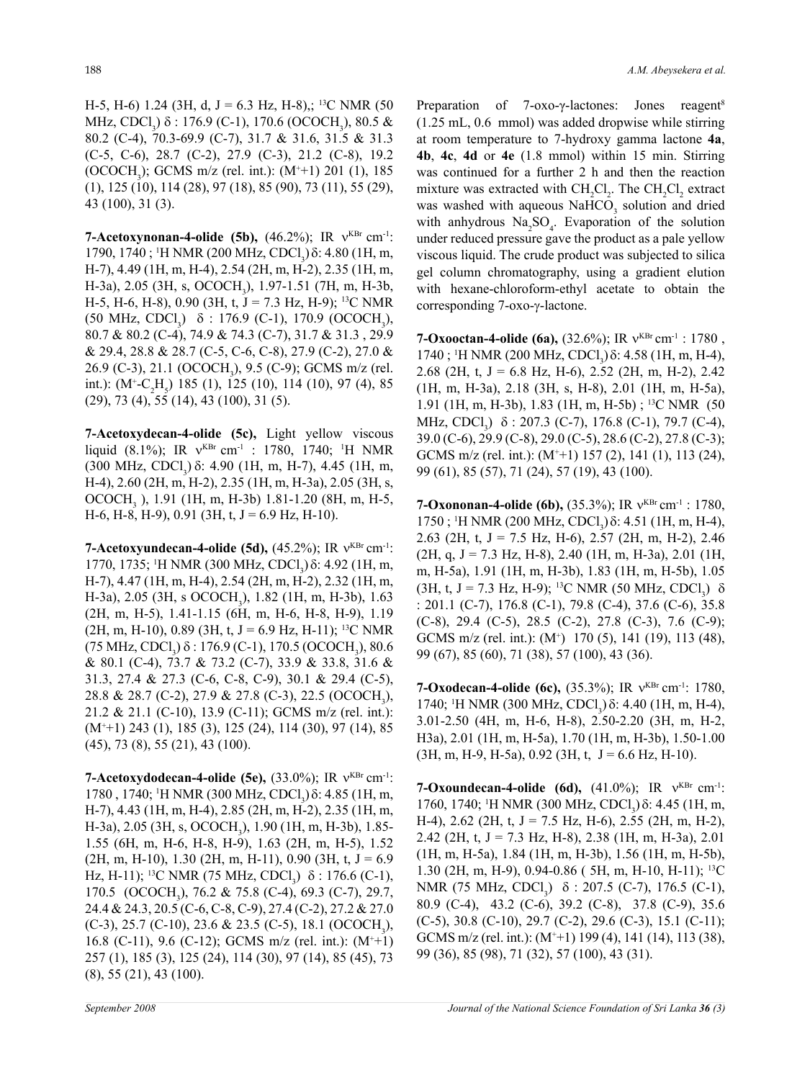H-5, H-6) 1.24 (3H, d, J = 6.3 Hz, H-8),; <sup>13</sup>C NMR (50 MHz, CDCl<sub>3</sub>) δ : 176.9 (C-1), 170.6 (OCOCH<sub>3</sub>), 80.5 & 80.2 (C-4), 70.3-69.9 (C-7), 31.7 & 31.6, 31.5 & 31.3 (C-5, C-6), 28.7 (C-2), 27.9 (C-3), 21.2 (C-8), 19.2 (OCOCH<sub>3</sub>); GCMS m/z (rel. int.): (M<sup>+</sup>+1) 201 (1), 185 (1), 125 (10), 114 (28), 97 (18), 85 (90), 73 (11), 55 (29), 43 (100), 31 (3).

**7-Acetoxynonan-4-olide** (5b),  $(46.2\%)$ ; IR  $v^{KBr}$  cm<sup>-1</sup>: 1790, 1740; <sup>1</sup>H NMR (200 MHz, CDCl<sub>3</sub>) δ: 4.80 (1H, m, H-7), 4.49 (1H, m, H-4), 2.54 (2H, m, H-2), 2.35 (1H, m, H-3a), 2.05 (3H, s, OCOCH<sub>3</sub>), 1.97-1.51 (7H, m, H-3b, H-5, H-6, H-8), 0.90 (3H, t, J = 7.3 Hz, H-9); <sup>13</sup>C NMR (50 MHz, CDCl<sub>3</sub>)  $\delta$  : 176.9 (C-1), 170.9 (OCOCH<sub>3</sub>), 80.7 & 80.2 (C-4), 74.9 & 74.3 (C-7), 31.7 & 31.3 , 29.9 & 29.4, 28.8 & 28.7 (C-5, C-6, C-8), 27.9 (C-2), 27.0 & 26.9 (C-3), 21.1 (OCOCH<sub>3</sub>), 9.5 (C-9); GCMS m/z (rel. int.):  $(M^{\dagger}$ -C<sub>2</sub>H<sub>5</sub> $)$  185 (1), 125 (10), 114 (10), 97 (4), 85 (29), 73 (4), 55 (14), 43 (100), 31 (5).

**7-Acetoxydecan-4-olide (5c),** Light yellow viscous liquid (8.1%); IR  $v^{KBr}$  cm<sup>-1</sup> : 1780, 1740; <sup>1</sup>H NMR (300 MHz, CDCl<sub>3</sub>) δ: 4.90 (1H, m, H-7), 4.45 (1H, m, H-4), 2.60 (2H, m, H-2), 2.35 (1H, m, H-3a), 2.05 (3H, s, OCOCH<sub>3</sub> ), 1.91 (1H, m, H-3b) 1.81-1.20 (8H, m, H-5,  $H-6$ ,  $H-8$ ,  $H-9$ ), 0.91 (3H, t,  $J = 6.9$  Hz,  $H-10$ ).

**7-Acetoxyundecan-4-olide (5d),** (45.2%); IR ν<sup>KBr</sup> cm<sup>-1</sup>: 1770, 1735; <sup>1</sup>H NMR (300 MHz, CDCl<sub>3</sub>) δ: 4.92 (1H, m, H-7), 4.47 (1H, m, H-4), 2.54 (2H, m, H-2), 2.32 (1H, m, H-3a), 2.05 (3H, s OCOCH<sub>3</sub>), 1.82 (1H, m, H-3b), 1.63 (2H, m, H-5), 1.41-1.15 (6H, m, H-6, H-8, H-9), 1.19  $(2H, m, H-10)$ , 0.89 (3H, t, J = 6.9 Hz, H-11); <sup>13</sup>C NMR (75 MHz, CDCl<sub>3</sub>) δ : 176.9 (C-1), 170.5 (OCOCH<sub>3</sub>), 80.6 & 80.1 (C-4), 73.7 & 73.2 (C-7), 33.9 & 33.8, 31.6 & 31.3, 27.4 & 27.3 (C-6, C-8, C-9), 30.1 & 29.4 (C-5), 28.8 & 28.7 (C-2), 27.9 & 27.8 (C-3), 22.5 (OCOCH<sub>3</sub>), 21.2 & 21.1 (C-10), 13.9 (C-11); GCMS m/z (rel. int.): (M+ +1) 243 (1), 185 (3), 125 (24), 114 (30), 97 (14), 85 (45), 73 (8), 55 (21), 43 (100).

**7-Acetoxydodecan-4-olide (5e),** (33.0%); IR ν<sup>KBr</sup> cm<sup>-1</sup>: 1780, 1740; <sup>1</sup>H NMR (300 MHz, CDCl<sub>3</sub>) δ: 4.85 (1H, m, H-7), 4.43 (1H, m, H-4), 2.85 (2H, m, H-2), 2.35 (1H, m, H-3a), 2.05 (3H, s, OCOCH<sub>3</sub>), 1.90 (1H, m, H-3b), 1.85-1.55 (6H, m, H-6, H-8, H-9), 1.63 (2H, m, H-5), 1.52  $(2H, m, H-10)$ , 1.30  $(2H, m, H-11)$ , 0.90  $(3H, t, J = 6.9)$ Hz, H-11); <sup>13</sup>C NMR (75 MHz, CDCl<sub>3</sub>)  $\delta$  : 176.6 (C-1), 170.5 (OCOCH<sub>3</sub>), 76.2 & 75.8 (C-4), 69.3 (C-7), 29.7, 24.4 & 24.3, 20.5 (C-6, C-8, C-9), 27.4 (C-2), 27.2 & 27.0  $(C-3)$ , 25.7  $(C-10)$ , 23.6 & 23.5  $(C-5)$ , 18.1  $(OCOCH<sub>3</sub>)$ , 16.8 (C-11), 9.6 (C-12); GCMS m/z (rel. int.): (M+ +1) 257 (1), 185 (3), 125 (24), 114 (30), 97 (14), 85 (45), 73 (8), 55 (21), 43 (100).

Preparation of 7-oxo-γ-lactones: Jones reagent<sup>8</sup> (1.25 mL, 0.6 mmol) was added dropwise while stirring at room temperature to 7-hydroxy gamma lactone **4a**, **4b**, **4c**, **4d** or **4e** (1.8 mmol) within 15 min. Stirring was continued for a further 2 h and then the reaction mixture was extracted with  $CH_2Cl_2$ . The  $CH_2Cl_2$  extract was washed with aqueous  $\text{NaHCO}_3$  solution and dried with anhydrous  $Na<sub>2</sub>SO<sub>4</sub>$ . Evaporation of the solution under reduced pressure gave the product as a pale yellow viscous liquid. The crude product was subjected to silica gel column chromatography, using a gradient elution with hexane-chloroform-ethyl acetate to obtain the corresponding 7-oxo-γ-lactone.

**7-Oxooctan-4-olide (6a),** (32.6%); IR ν<sup>KBr</sup> cm<sup>-1</sup> : 1780, 1740; <sup>1</sup>H NMR (200 MHz, CDCl<sub>3</sub>) δ: 4.58 (1H, m, H-4), 2.68 (2H, t, J = 6.8 Hz, H-6), 2.52 (2H, m, H-2), 2.42 (1H, m, H-3a), 2.18 (3H, s, H-8), 2.01 (1H, m, H-5a), 1.91 (1H, m, H-3b), 1.83 (1H, m, H-5b) ; 13C NMR (50 MHz, CDCl<sub>3</sub>)  $\delta$  : 207.3 (C-7), 176.8 (C-1), 79.7 (C-4), 39.0 (C-6), 29.9 (C-8), 29.0 (C-5), 28.6 (C-2), 27.8 (C-3); GCMS m/z (rel. int.): (M<sup>+</sup>+1) 157 (2), 141 (1), 113 (24), 99 (61), 85 (57), 71 (24), 57 (19), 43 (100).

**7-Oxononan-4-olide (6b),** (35.3%); IR ν<sup>KBr</sup> cm<sup>-1</sup> : 1780, 1750; <sup>1</sup>H NMR (200 MHz, CDCl<sub>3</sub>) δ: 4.51 (1H, m, H-4), 2.63 (2H, t, J = 7.5 Hz, H-6), 2.57 (2H, m, H-2), 2.46  $(2H, q, J = 7.3 \text{ Hz}, H=8)$ , 2.40 (1H, m, H $=3a$ ), 2.01 (1H, m, H-5a), 1.91 (1H, m, H-3b), 1.83 (1H, m, H-5b), 1.05 (3H, t, J = 7.3 Hz, H-9); <sup>13</sup>C NMR (50 MHz, CDCl<sub>3</sub>)  $\delta$ : 201.1 (C-7), 176.8 (C-1), 79.8 (C-4), 37.6 (C-6), 35.8 (C-8), 29.4 (C-5), 28.5 (C-2), 27.8 (C-3), 7.6 (C-9); GCMS m/z (rel. int.): (M<sup>+</sup>) 170 (5), 141 (19), 113 (48), 99 (67), 85 (60), 71 (38), 57 (100), 43 (36).

**7-Oxodecan-4-olide (6c),** (35.3%); IR ν<sup>KBr</sup> cm<sup>-1</sup>: 1780, 1740; <sup>1</sup>H NMR (300 MHz, CDCl<sub>3</sub>) δ: 4.40 (1H, m, H-4), 3.01-2.50 (4H, m, H-6, H-8), 2.50-2.20 (3H, m, H-2, H3a), 2.01 (1H, m, H-5a), 1.70 (1H, m, H-3b), 1.50-1.00  $(3H, m, H-9, H-5a), 0.92$   $(3H, t, J = 6.6$  Hz, H-10).

**7-Oxoundecan-4-olide (6d),** (41.0%); IR ν<sup>KBr</sup> cm<sup>-1</sup>: 1760, 1740; <sup>1</sup>H NMR (300 MHz, CDCl<sub>3</sub>) δ: 4.45 (1H, m, H-4), 2.62 (2H, t, J = 7.5 Hz, H-6), 2.55 (2H, m, H-2), 2.42 (2H, t,  $J = 7.3$  Hz, H-8), 2.38 (1H, m, H-3a), 2.01 (1H, m, H-5a), 1.84 (1H, m, H-3b), 1.56 (1H, m, H-5b), 1.30 (2H, m, H-9), 0.94-0.86 ( 5H, m, H-10, H-11); 13C NMR (75 MHz, CDCl<sub>3</sub>)  $\delta$  : 207.5 (C-7), 176.5 (C-1), 80.9 (C-4), 43.2 (C-6), 39.2 (C-8), 37.8 (C-9), 35.6 (C-5), 30.8 (C-10), 29.7 (C-2), 29.6 (C-3), 15.1 (C-11); GCMS m/z (rel. int.): (M<sup>+</sup>+1) 199 (4), 141 (14), 113 (38), 99 (36), 85 (98), 71 (32), 57 (100), 43 (31).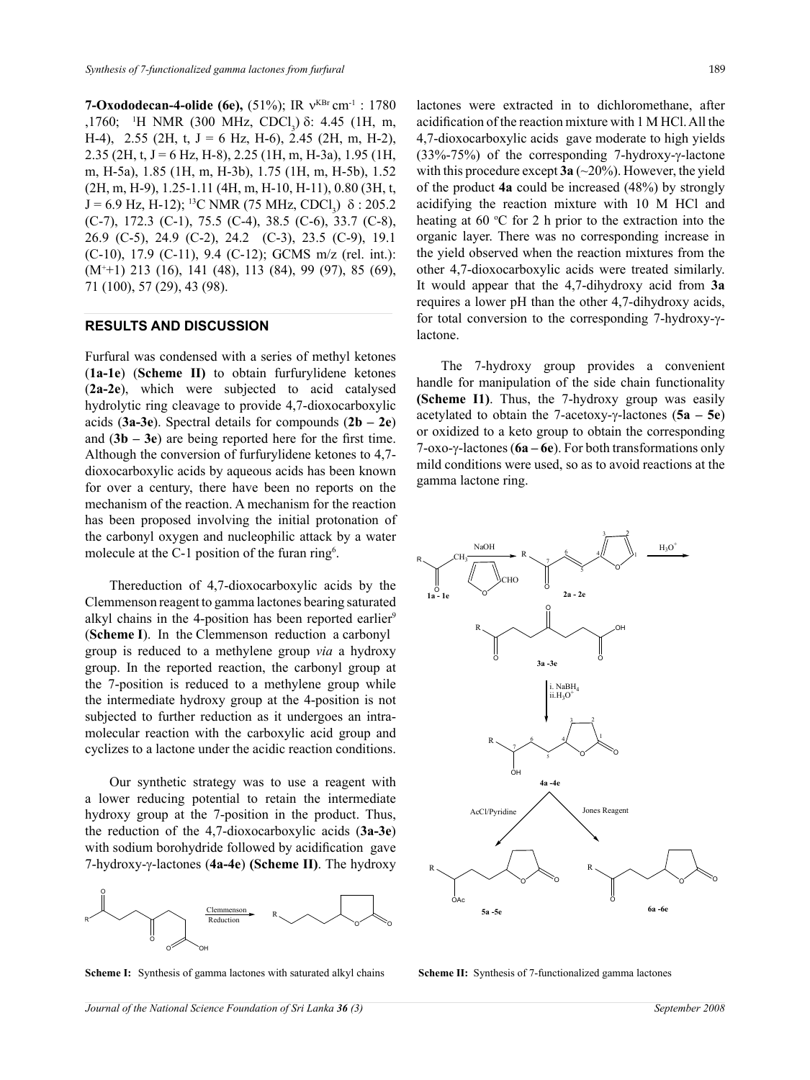**7-Oxododecan-4-olide (6e),** (51%); IR ν<sup>KBr</sup> cm<sup>-1</sup> : 1780 ,1760; <sup>1</sup>H NMR (300 MHz, CDCl<sub>3</sub>) δ: 4.45 (1H, m, H-4), 2.55 (2H, t, J = 6 Hz, H-6), 2.45 (2H, m, H-2), 2.35 (2H, t, J = 6 Hz, H-8), 2.25 (1H, m, H-3a), 1.95 (1H, m, H-5a), 1.85 (1H, m, H-3b), 1.75 (1H, m, H-5b), 1.52 (2H, m, H-9), 1.25-1.11 (4H, m, H-10, H-11), 0.80 (3H, t,  $J = 6.9$  Hz, H-12); <sup>13</sup>C NMR (75 MHz, CDCl<sub>3</sub>) δ : 205.2 (C-7), 172.3 (C-1), 75.5 (C-4), 38.5 (C-6), 33.7 (C-8), 26.9 (C-5), 24.9 (C-2), 24.2 (C-3), 23.5 (C-9), 19.1 (C-10), 17.9 (C-11), 9.4 (C-12); GCMS m/z (rel. int.): (M+ +1) 213 (16), 141 (48), 113 (84), 99 (97), 85 (69), 71 (100), 57 (29), 43 (98).

#### **Results and Discussion**

Furfural was condensed with a series of methyl ketones (**1a-1e**) (**Scheme II)** to obtain furfurylidene ketones (**2a-2e**), which were subjected to acid catalysed hydrolytic ring cleavage to provide 4,7-dioxocarboxylic acids (**3a-3e**). Spectral details for compounds (**2b – 2e**) and (**3b – 3e**) are being reported here for the first time. Although the conversion of furfurylidene ketones to 4,7 dioxocarboxylic acids by aqueous acids has been known for over a century, there have been no reports on the mechanism of the reaction. A mechanism for the reaction has been proposed involving the initial protonation of the carbonyl oxygen and nucleophilic attack by a water molecule at the C-1 position of the furan ring<sup>6</sup>.

Thereduction of 4,7-dioxocarboxylic acids by the Clemmenson reagent to gamma lactones bearing saturated alkyl chains in the 4-position has been reported earlier<sup>9</sup> (**Scheme I**). In the Clemmenson reduction a carbonyl group is reduced to a methylene group *via* a hydroxy group. In the reported reaction, the carbonyl group at the 7-position is reduced to a methylene group while the intermediate hydroxy group at the 4-position is not subjected to further reduction as it undergoes an intramolecular reaction with the carboxylic acid group and cyclizes to a lactone under the acidic reaction conditions.

Our synthetic strategy was to use a reagent with a lower reducing potential to retain the intermediate hydroxy group at the 7-position in the product. Thus, the reduction of the 4,7-dioxocarboxylic acids (**3a-3e**) with sodium borohydride followed by acidification gave 7-hydroxy-γ-lactones (**4a-4e**) **(Scheme II)**. The hydroxy



**Scheme I:** Synthesis of gamma lactones with saturated alkyl chains

lactones were extracted in to dichloromethane, after acidification of the reaction mixture with 1 M HCl. All the 4,7-dioxocarboxylic acids gave moderate to high yields (33%-75%) of the corresponding 7-hydroxy-γ-lactone with this procedure except **3a** (~20%). However, the yield of the product **4a** could be increased (48%) by strongly acidifying the reaction mixture with 10 M HCl and heating at 60  $\degree$ C for 2 h prior to the extraction into the organic layer. There was no corresponding increase in the yield observed when the reaction mixtures from the other 4,7-dioxocarboxylic acids were treated similarly. It would appear that the 4,7-dihydroxy acid from **3a** requires a lower pH than the other 4,7-dihydroxy acids, for total conversion to the corresponding 7-hydroxy-γlactone.

The 7-hydroxy group provides a convenient handle for manipulation of the side chain functionality **(Scheme I1)**. Thus, the 7-hydroxy group was easily acetylated to obtain the 7-acetoxy-γ-lactones (**5a – 5e**) or oxidized to a keto group to obtain the corresponding 7-oxo-γ-lactones (**6a – 6e**). For both transformations only mild conditions were used, so as to avoid reactions at the gamma lactone ring.



**Scheme II:** Synthesis of 7-functionalized gamma lactones